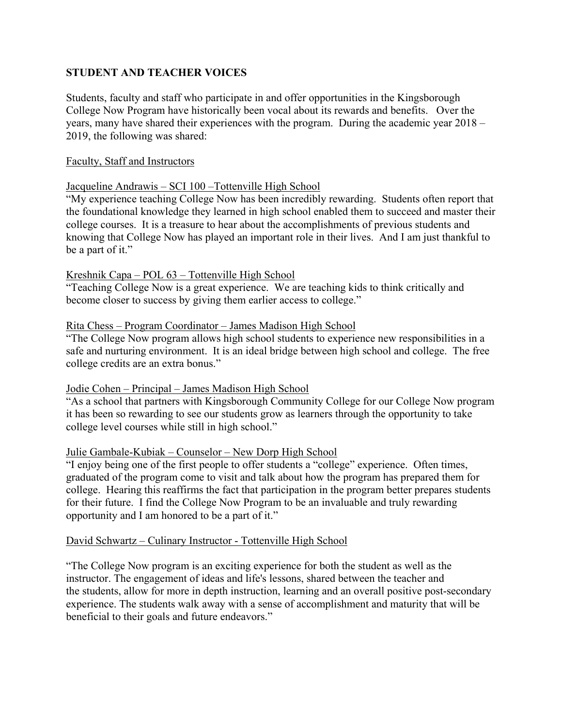# **STUDENT AND TEACHER VOICES**

Students, faculty and staff who participate in and offer opportunities in the Kingsborough College Now Program have historically been vocal about its rewards and benefits. Over the years, many have shared their experiences with the program. During the academic year 2018 – 2019, the following was shared:

#### Faculty, Staff and Instructors

# Jacqueline Andrawis – SCI 100 –Tottenville High School

"My experience teaching College Now has been incredibly rewarding. Students often report that the foundational knowledge they learned in high school enabled them to succeed and master their college courses. It is a treasure to hear about the accomplishments of previous students and knowing that College Now has played an important role in their lives. And I am just thankful to be a part of it."

# Kreshnik Capa – POL 63 – Tottenville High School

"Teaching College Now is a great experience. We are teaching kids to think critically and become closer to success by giving them earlier access to college."

#### Rita Chess – Program Coordinator – James Madison High School

"The College Now program allows high school students to experience new responsibilities in a safe and nurturing environment. It is an ideal bridge between high school and college. The free college credits are an extra bonus."

#### Jodie Cohen – Principal – James Madison High School

"As a school that partners with Kingsborough Community College for our College Now program it has been so rewarding to see our students grow as learners through the opportunity to take college level courses while still in high school."

#### Julie Gambale-Kubiak – Counselor – New Dorp High School

"I enjoy being one of the first people to offer students a "college" experience. Often times, graduated of the program come to visit and talk about how the program has prepared them for college. Hearing this reaffirms the fact that participation in the program better prepares students for their future. I find the College Now Program to be an invaluable and truly rewarding opportunity and I am honored to be a part of it."

# David Schwartz – Culinary Instructor - Tottenville High School

"The College Now program is an exciting experience for both the student as well as the instructor. The engagement of ideas and life's lessons, shared between the teacher and the students, allow for more in depth instruction, learning and an overall positive post-secondary experience. The students walk away with a sense of accomplishment and maturity that will be beneficial to their goals and future endeavors."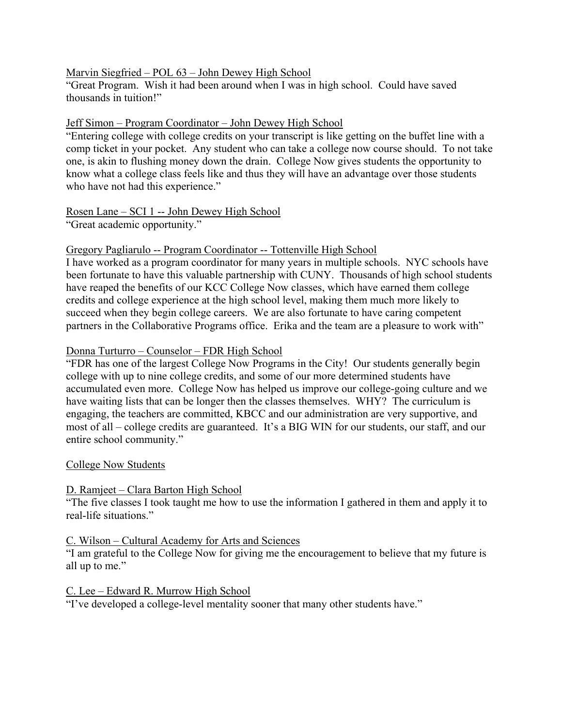# Marvin Siegfried – POL 63 – John Dewey High School

"Great Program. Wish it had been around when I was in high school. Could have saved thousands in tuition!"

### Jeff Simon – Program Coordinator – John Dewey High School

"Entering college with college credits on your transcript is like getting on the buffet line with a comp ticket in your pocket. Any student who can take a college now course should. To not take one, is akin to flushing money down the drain. College Now gives students the opportunity to know what a college class feels like and thus they will have an advantage over those students who have not had this experience."

# Rosen Lane – SCI 1 -- John Dewey High School

"Great academic opportunity."

#### Gregory Pagliarulo -- Program Coordinator -- Tottenville High School

I have worked as a program coordinator for many years in multiple schools. NYC schools have been fortunate to have this valuable partnership with CUNY. Thousands of high school students have reaped the benefits of our KCC College Now classes, which have earned them college credits and college experience at the high school level, making them much more likely to succeed when they begin college careers. We are also fortunate to have caring competent partners in the Collaborative Programs office. Erika and the team are a pleasure to work with"

# Donna Turturro – Counselor – FDR High School

"FDR has one of the largest College Now Programs in the City! Our students generally begin college with up to nine college credits, and some of our more determined students have accumulated even more. College Now has helped us improve our college-going culture and we have waiting lists that can be longer then the classes themselves. WHY? The curriculum is engaging, the teachers are committed, KBCC and our administration are very supportive, and most of all – college credits are guaranteed. It's a BIG WIN for our students, our staff, and our entire school community."

#### College Now Students

#### D. Ramjeet – Clara Barton High School

"The five classes I took taught me how to use the information I gathered in them and apply it to real-life situations."

#### C. Wilson – Cultural Academy for Arts and Sciences

"I am grateful to the College Now for giving me the encouragement to believe that my future is all up to me."

#### C. Lee – Edward R. Murrow High School

"I've developed a college-level mentality sooner that many other students have."